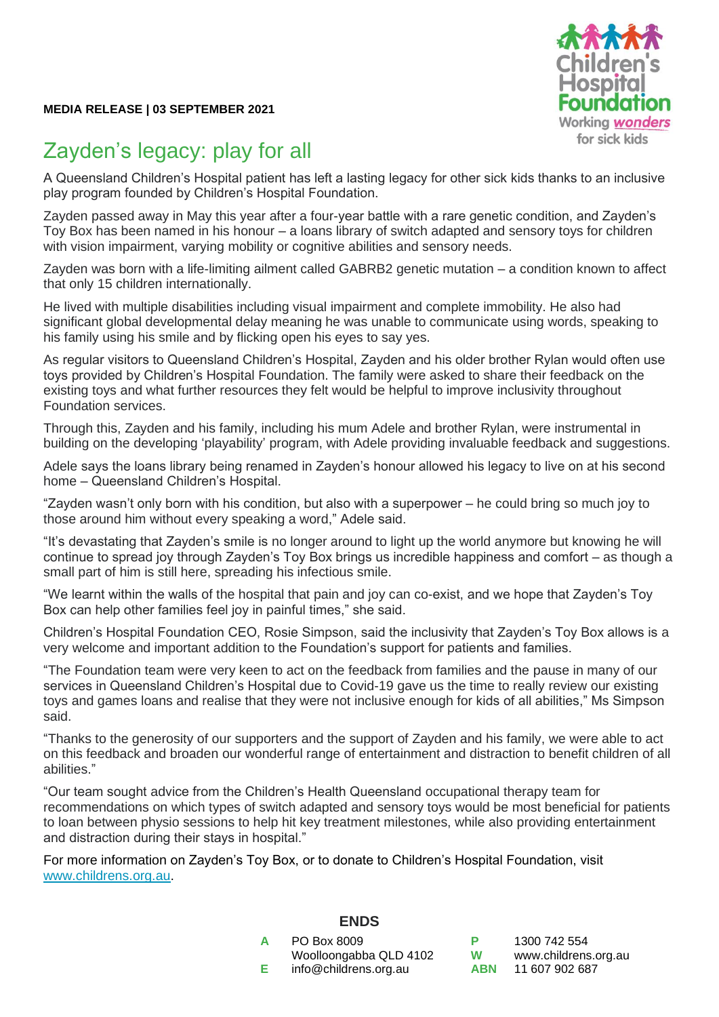

## Zayden's legacy: play for all

A Queensland Children's Hospital patient has left a lasting legacy for other sick kids thanks to an inclusive play program founded by Children's Hospital Foundation.

Zayden passed away in May this year after a four-year battle with a rare genetic condition, and Zayden's Toy Box has been named in his honour – a loans library of switch adapted and sensory toys for children with vision impairment, varying mobility or cognitive abilities and sensory needs.

Zayden was born with a life-limiting ailment called GABRB2 genetic mutation – a condition known to affect that only 15 children internationally.

He lived with multiple disabilities including visual impairment and complete immobility. He also had significant global developmental delay meaning he was unable to communicate using words, speaking to his family using his smile and by flicking open his eyes to say yes.

As regular visitors to Queensland Children's Hospital, Zayden and his older brother Rylan would often use toys provided by Children's Hospital Foundation. The family were asked to share their feedback on the existing toys and what further resources they felt would be helpful to improve inclusivity throughout Foundation services.

Through this, Zayden and his family, including his mum Adele and brother Rylan, were instrumental in building on the developing 'playability' program, with Adele providing invaluable feedback and suggestions.

Adele says the loans library being renamed in Zayden's honour allowed his legacy to live on at his second home – Queensland Children's Hospital.

"Zayden wasn't only born with his condition, but also with a superpower – he could bring so much joy to those around him without every speaking a word," Adele said.

"It's devastating that Zayden's smile is no longer around to light up the world anymore but knowing he will continue to spread joy through Zayden's Toy Box brings us incredible happiness and comfort – as though a small part of him is still here, spreading his infectious smile.

"We learnt within the walls of the hospital that pain and joy can co-exist, and we hope that Zayden's Toy Box can help other families feel joy in painful times," she said.

Children's Hospital Foundation CEO, Rosie Simpson, said the inclusivity that Zayden's Toy Box allows is a very welcome and important addition to the Foundation's support for patients and families.

"The Foundation team were very keen to act on the feedback from families and the pause in many of our services in Queensland Children's Hospital due to Covid-19 gave us the time to really review our existing toys and games loans and realise that they were not inclusive enough for kids of all abilities," Ms Simpson said.

"Thanks to the generosity of our supporters and the support of Zayden and his family, we were able to act on this feedback and broaden our wonderful range of entertainment and distraction to benefit children of all abilities."

"Our team sought advice from the Children's Health Queensland occupational therapy team for recommendations on which types of switch adapted and sensory toys would be most beneficial for patients to loan between physio sessions to help hit key treatment milestones, while also providing entertainment and distraction during their stays in hospital."

For more information on Zayden's Toy Box, or to donate to Children's Hospital Foundation, visit [www.childrens.org.au.](http://www.childrens.org.au/)

|   | ----                   |  |
|---|------------------------|--|
| A | PO Box 8009            |  |
|   | Woolloongabba QLD 4102 |  |
| Е | info@childrens.org.au  |  |
|   |                        |  |

**ENDS**

**P** 1300 742 554 **W** [www.childrens.org.au](http://www.childrens.org.au/) **ABN** 11 607 902 687